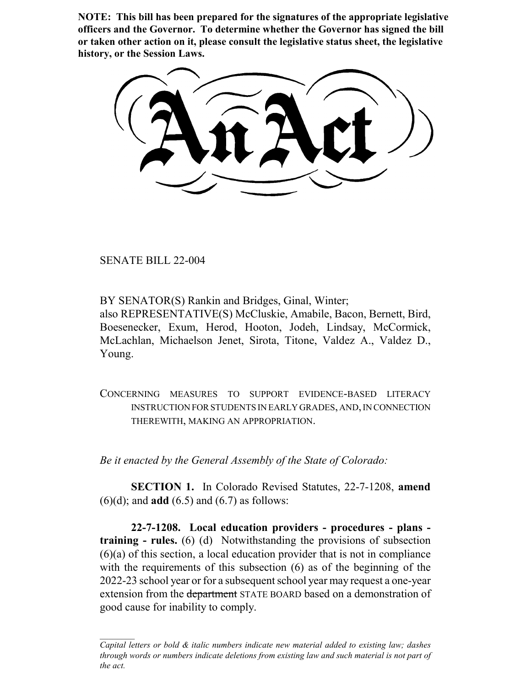**NOTE: This bill has been prepared for the signatures of the appropriate legislative officers and the Governor. To determine whether the Governor has signed the bill or taken other action on it, please consult the legislative status sheet, the legislative history, or the Session Laws.**

SENATE BILL 22-004

BY SENATOR(S) Rankin and Bridges, Ginal, Winter;

also REPRESENTATIVE(S) McCluskie, Amabile, Bacon, Bernett, Bird, Boesenecker, Exum, Herod, Hooton, Jodeh, Lindsay, McCormick, McLachlan, Michaelson Jenet, Sirota, Titone, Valdez A., Valdez D., Young.

CONCERNING MEASURES TO SUPPORT EVIDENCE-BASED LITERACY INSTRUCTION FOR STUDENTS IN EARLY GRADES, AND, IN CONNECTION THEREWITH, MAKING AN APPROPRIATION.

*Be it enacted by the General Assembly of the State of Colorado:*

**SECTION 1.** In Colorado Revised Statutes, 22-7-1208, **amend** (6)(d); and **add** (6.5) and (6.7) as follows:

**22-7-1208. Local education providers - procedures - plans training - rules.** (6) (d) Notwithstanding the provisions of subsection (6)(a) of this section, a local education provider that is not in compliance with the requirements of this subsection (6) as of the beginning of the 2022-23 school year or for a subsequent school year may request a one-year extension from the department STATE BOARD based on a demonstration of good cause for inability to comply.

*Capital letters or bold & italic numbers indicate new material added to existing law; dashes through words or numbers indicate deletions from existing law and such material is not part of the act.*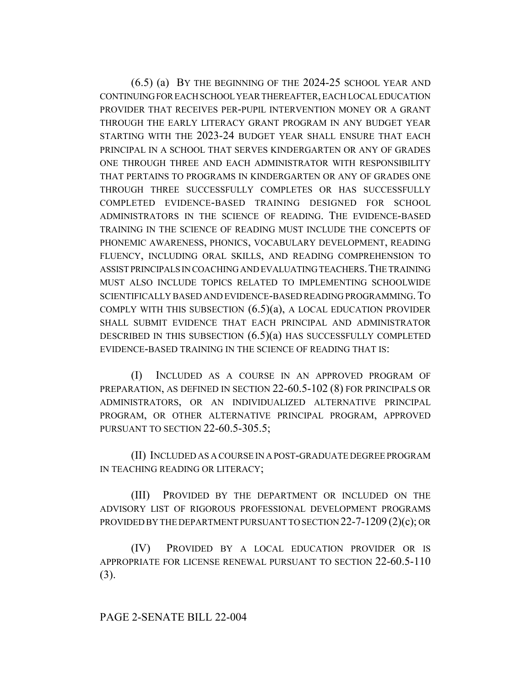(6.5) (a) BY THE BEGINNING OF THE 2024-25 SCHOOL YEAR AND CONTINUING FOR EACH SCHOOL YEAR THEREAFTER, EACH LOCAL EDUCATION PROVIDER THAT RECEIVES PER-PUPIL INTERVENTION MONEY OR A GRANT THROUGH THE EARLY LITERACY GRANT PROGRAM IN ANY BUDGET YEAR STARTING WITH THE 2023-24 BUDGET YEAR SHALL ENSURE THAT EACH PRINCIPAL IN A SCHOOL THAT SERVES KINDERGARTEN OR ANY OF GRADES ONE THROUGH THREE AND EACH ADMINISTRATOR WITH RESPONSIBILITY THAT PERTAINS TO PROGRAMS IN KINDERGARTEN OR ANY OF GRADES ONE THROUGH THREE SUCCESSFULLY COMPLETES OR HAS SUCCESSFULLY COMPLETED EVIDENCE-BASED TRAINING DESIGNED FOR SCHOOL ADMINISTRATORS IN THE SCIENCE OF READING. THE EVIDENCE-BASED TRAINING IN THE SCIENCE OF READING MUST INCLUDE THE CONCEPTS OF PHONEMIC AWARENESS, PHONICS, VOCABULARY DEVELOPMENT, READING FLUENCY, INCLUDING ORAL SKILLS, AND READING COMPREHENSION TO ASSIST PRINCIPALS IN COACHING AND EVALUATING TEACHERS.THE TRAINING MUST ALSO INCLUDE TOPICS RELATED TO IMPLEMENTING SCHOOLWIDE SCIENTIFICALLY BASED AND EVIDENCE-BASED READING PROGRAMMING.TO COMPLY WITH THIS SUBSECTION  $(6.5)(a)$ , A LOCAL EDUCATION PROVIDER SHALL SUBMIT EVIDENCE THAT EACH PRINCIPAL AND ADMINISTRATOR DESCRIBED IN THIS SUBSECTION  $(6.5)(a)$  has successfully completed EVIDENCE-BASED TRAINING IN THE SCIENCE OF READING THAT IS:

(I) INCLUDED AS A COURSE IN AN APPROVED PROGRAM OF PREPARATION, AS DEFINED IN SECTION 22-60.5-102 (8) FOR PRINCIPALS OR ADMINISTRATORS, OR AN INDIVIDUALIZED ALTERNATIVE PRINCIPAL PROGRAM, OR OTHER ALTERNATIVE PRINCIPAL PROGRAM, APPROVED PURSUANT TO SECTION 22-60.5-305.5;

(II) INCLUDED AS A COURSE IN A POST-GRADUATE DEGREE PROGRAM IN TEACHING READING OR LITERACY;

(III) PROVIDED BY THE DEPARTMENT OR INCLUDED ON THE ADVISORY LIST OF RIGOROUS PROFESSIONAL DEVELOPMENT PROGRAMS PROVIDED BY THE DEPARTMENT PURSUANT TO SECTION 22-7-1209 (2)(c); OR

(IV) PROVIDED BY A LOCAL EDUCATION PROVIDER OR IS APPROPRIATE FOR LICENSE RENEWAL PURSUANT TO SECTION 22-60.5-110 (3).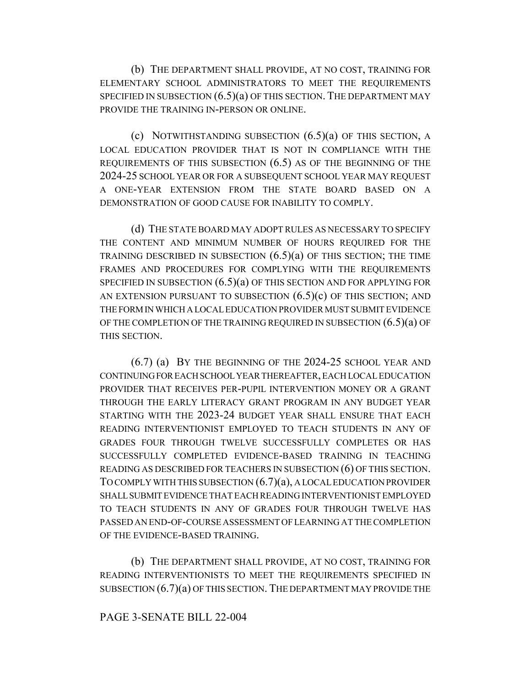(b) THE DEPARTMENT SHALL PROVIDE, AT NO COST, TRAINING FOR ELEMENTARY SCHOOL ADMINISTRATORS TO MEET THE REQUIREMENTS SPECIFIED IN SUBSECTION  $(6.5)(a)$  OF THIS SECTION. THE DEPARTMENT MAY PROVIDE THE TRAINING IN-PERSON OR ONLINE.

(c) NOTWITHSTANDING SUBSECTION  $(6.5)(a)$  OF THIS SECTION, A LOCAL EDUCATION PROVIDER THAT IS NOT IN COMPLIANCE WITH THE REQUIREMENTS OF THIS SUBSECTION (6.5) AS OF THE BEGINNING OF THE 2024-25 SCHOOL YEAR OR FOR A SUBSEQUENT SCHOOL YEAR MAY REQUEST A ONE-YEAR EXTENSION FROM THE STATE BOARD BASED ON A DEMONSTRATION OF GOOD CAUSE FOR INABILITY TO COMPLY.

(d) THE STATE BOARD MAY ADOPT RULES AS NECESSARY TO SPECIFY THE CONTENT AND MINIMUM NUMBER OF HOURS REQUIRED FOR THE TRAINING DESCRIBED IN SUBSECTION  $(6.5)(a)$  OF THIS SECTION; THE TIME FRAMES AND PROCEDURES FOR COMPLYING WITH THE REQUIREMENTS SPECIFIED IN SUBSECTION (6.5)(a) OF THIS SECTION AND FOR APPLYING FOR AN EXTENSION PURSUANT TO SUBSECTION  $(6.5)(c)$  OF THIS SECTION; AND THE FORM IN WHICH A LOCAL EDUCATION PROVIDER MUST SUBMIT EVIDENCE OF THE COMPLETION OF THE TRAINING REQUIRED IN SUBSECTION  $(6.5)(a)$  OF THIS SECTION.

(6.7) (a) BY THE BEGINNING OF THE 2024-25 SCHOOL YEAR AND CONTINUING FOR EACH SCHOOL YEAR THEREAFTER, EACH LOCAL EDUCATION PROVIDER THAT RECEIVES PER-PUPIL INTERVENTION MONEY OR A GRANT THROUGH THE EARLY LITERACY GRANT PROGRAM IN ANY BUDGET YEAR STARTING WITH THE 2023-24 BUDGET YEAR SHALL ENSURE THAT EACH READING INTERVENTIONIST EMPLOYED TO TEACH STUDENTS IN ANY OF GRADES FOUR THROUGH TWELVE SUCCESSFULLY COMPLETES OR HAS SUCCESSFULLY COMPLETED EVIDENCE-BASED TRAINING IN TEACHING READING AS DESCRIBED FOR TEACHERS IN SUBSECTION (6) OF THIS SECTION. TO COMPLY WITH THIS SUBSECTION (6.7)(a), A LOCAL EDUCATION PROVIDER SHALL SUBMIT EVIDENCE THAT EACH READING INTERVENTIONIST EMPLOYED TO TEACH STUDENTS IN ANY OF GRADES FOUR THROUGH TWELVE HAS PASSED AN END-OF-COURSE ASSESSMENT OF LEARNING AT THE COMPLETION OF THE EVIDENCE-BASED TRAINING.

(b) THE DEPARTMENT SHALL PROVIDE, AT NO COST, TRAINING FOR READING INTERVENTIONISTS TO MEET THE REQUIREMENTS SPECIFIED IN SUBSECTION (6.7)(a) OF THIS SECTION. THE DEPARTMENT MAY PROVIDE THE

## PAGE 3-SENATE BILL 22-004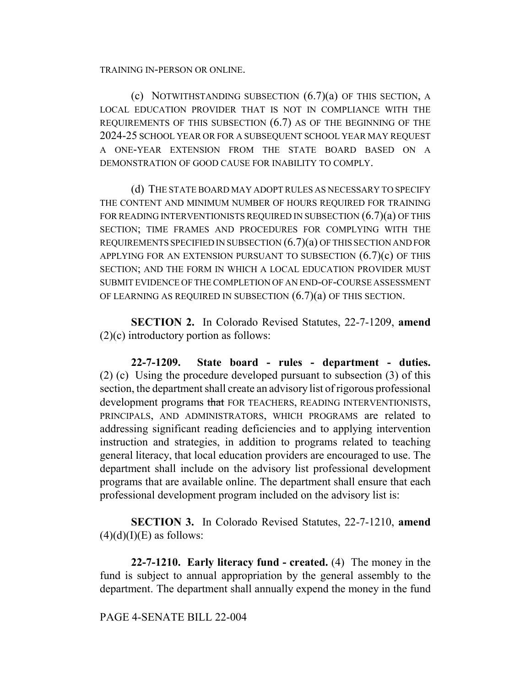TRAINING IN-PERSON OR ONLINE.

(c) NOTWITHSTANDING SUBSECTION (6.7)(a) OF THIS SECTION, A LOCAL EDUCATION PROVIDER THAT IS NOT IN COMPLIANCE WITH THE REQUIREMENTS OF THIS SUBSECTION (6.7) AS OF THE BEGINNING OF THE 2024-25 SCHOOL YEAR OR FOR A SUBSEQUENT SCHOOL YEAR MAY REQUEST A ONE-YEAR EXTENSION FROM THE STATE BOARD BASED ON A DEMONSTRATION OF GOOD CAUSE FOR INABILITY TO COMPLY.

(d) THE STATE BOARD MAY ADOPT RULES AS NECESSARY TO SPECIFY THE CONTENT AND MINIMUM NUMBER OF HOURS REQUIRED FOR TRAINING FOR READING INTERVENTIONISTS REQUIRED IN SUBSECTION  $(6.7)(a)$  OF THIS SECTION; TIME FRAMES AND PROCEDURES FOR COMPLYING WITH THE REQUIREMENTS SPECIFIED IN SUBSECTION  $(6.7)(a)$  OF THIS SECTION AND FOR APPLYING FOR AN EXTENSION PURSUANT TO SUBSECTION  $(6.7)(c)$  OF THIS SECTION; AND THE FORM IN WHICH A LOCAL EDUCATION PROVIDER MUST SUBMIT EVIDENCE OF THE COMPLETION OF AN END-OF-COURSE ASSESSMENT OF LEARNING AS REQUIRED IN SUBSECTION (6.7)(a) OF THIS SECTION.

**SECTION 2.** In Colorado Revised Statutes, 22-7-1209, **amend** (2)(c) introductory portion as follows:

**22-7-1209. State board - rules - department - duties.** (2) (c) Using the procedure developed pursuant to subsection (3) of this section, the department shall create an advisory list of rigorous professional development programs that FOR TEACHERS, READING INTERVENTIONISTS, PRINCIPALS, AND ADMINISTRATORS, WHICH PROGRAMS are related to addressing significant reading deficiencies and to applying intervention instruction and strategies, in addition to programs related to teaching general literacy, that local education providers are encouraged to use. The department shall include on the advisory list professional development programs that are available online. The department shall ensure that each professional development program included on the advisory list is:

**SECTION 3.** In Colorado Revised Statutes, 22-7-1210, **amend**  $(4)(d)(I)(E)$  as follows:

**22-7-1210. Early literacy fund - created.** (4) The money in the fund is subject to annual appropriation by the general assembly to the department. The department shall annually expend the money in the fund

## PAGE 4-SENATE BILL 22-004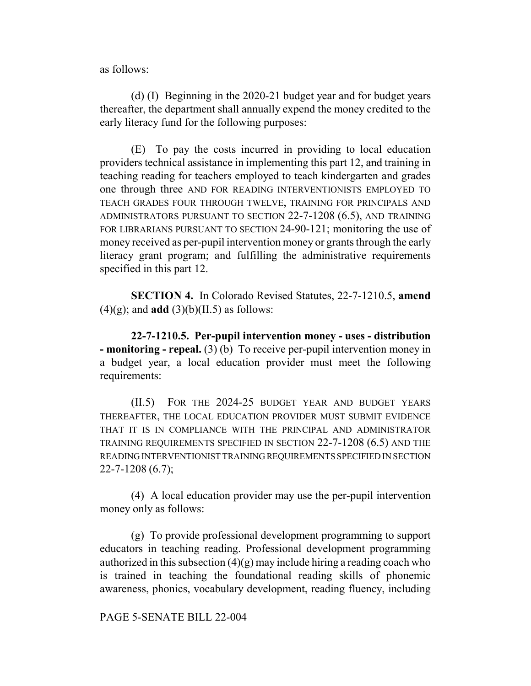as follows:

(d) (I) Beginning in the 2020-21 budget year and for budget years thereafter, the department shall annually expend the money credited to the early literacy fund for the following purposes:

(E) To pay the costs incurred in providing to local education providers technical assistance in implementing this part 12, and training in teaching reading for teachers employed to teach kindergarten and grades one through three AND FOR READING INTERVENTIONISTS EMPLOYED TO TEACH GRADES FOUR THROUGH TWELVE, TRAINING FOR PRINCIPALS AND ADMINISTRATORS PURSUANT TO SECTION 22-7-1208 (6.5), AND TRAINING FOR LIBRARIANS PURSUANT TO SECTION 24-90-121; monitoring the use of money received as per-pupil intervention money or grants through the early literacy grant program; and fulfilling the administrative requirements specified in this part 12.

**SECTION 4.** In Colorado Revised Statutes, 22-7-1210.5, **amend**  $(4)(g)$ ; and **add**  $(3)(b)(II.5)$  as follows:

**22-7-1210.5. Per-pupil intervention money - uses - distribution - monitoring - repeal.** (3) (b) To receive per-pupil intervention money in a budget year, a local education provider must meet the following requirements:

(II.5) FOR THE 2024-25 BUDGET YEAR AND BUDGET YEARS THEREAFTER, THE LOCAL EDUCATION PROVIDER MUST SUBMIT EVIDENCE THAT IT IS IN COMPLIANCE WITH THE PRINCIPAL AND ADMINISTRATOR TRAINING REQUIREMENTS SPECIFIED IN SECTION 22-7-1208 (6.5) AND THE READING INTERVENTIONIST TRAINING REQUIREMENTS SPECIFIED IN SECTION 22-7-1208 (6.7);

(4) A local education provider may use the per-pupil intervention money only as follows:

(g) To provide professional development programming to support educators in teaching reading. Professional development programming authorized in this subsection  $(4)(g)$  may include hiring a reading coach who is trained in teaching the foundational reading skills of phonemic awareness, phonics, vocabulary development, reading fluency, including

PAGE 5-SENATE BILL 22-004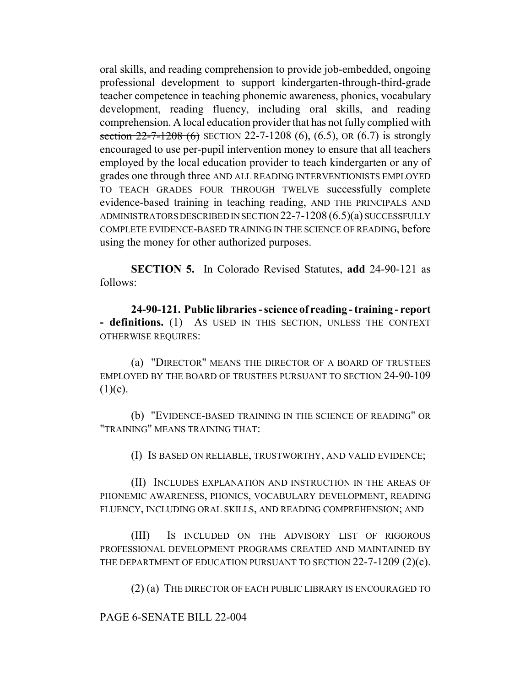oral skills, and reading comprehension to provide job-embedded, ongoing professional development to support kindergarten-through-third-grade teacher competence in teaching phonemic awareness, phonics, vocabulary development, reading fluency, including oral skills, and reading comprehension. A local education provider that has not fully complied with section  $22-7-1208$  (6) SECTION 22-7-1208 (6), (6.5), OR (6.7) is strongly encouraged to use per-pupil intervention money to ensure that all teachers employed by the local education provider to teach kindergarten or any of grades one through three AND ALL READING INTERVENTIONISTS EMPLOYED TO TEACH GRADES FOUR THROUGH TWELVE successfully complete evidence-based training in teaching reading, AND THE PRINCIPALS AND ADMINISTRATORS DESCRIBED IN SECTION 22-7-1208 (6.5)(a) SUCCESSFULLY COMPLETE EVIDENCE-BASED TRAINING IN THE SCIENCE OF READING, before using the money for other authorized purposes.

**SECTION 5.** In Colorado Revised Statutes, **add** 24-90-121 as follows:

**24-90-121. Public libraries - science of reading - training - report - definitions.** (1) AS USED IN THIS SECTION, UNLESS THE CONTEXT OTHERWISE REQUIRES:

(a) "DIRECTOR" MEANS THE DIRECTOR OF A BOARD OF TRUSTEES EMPLOYED BY THE BOARD OF TRUSTEES PURSUANT TO SECTION 24-90-109  $(1)(c)$ .

(b) "EVIDENCE-BASED TRAINING IN THE SCIENCE OF READING" OR "TRAINING" MEANS TRAINING THAT:

(I) IS BASED ON RELIABLE, TRUSTWORTHY, AND VALID EVIDENCE;

(II) INCLUDES EXPLANATION AND INSTRUCTION IN THE AREAS OF PHONEMIC AWARENESS, PHONICS, VOCABULARY DEVELOPMENT, READING FLUENCY, INCLUDING ORAL SKILLS, AND READING COMPREHENSION; AND

(III) IS INCLUDED ON THE ADVISORY LIST OF RIGOROUS PROFESSIONAL DEVELOPMENT PROGRAMS CREATED AND MAINTAINED BY THE DEPARTMENT OF EDUCATION PURSUANT TO SECTION 22-7-1209 (2)(c).

(2) (a) THE DIRECTOR OF EACH PUBLIC LIBRARY IS ENCOURAGED TO

PAGE 6-SENATE BILL 22-004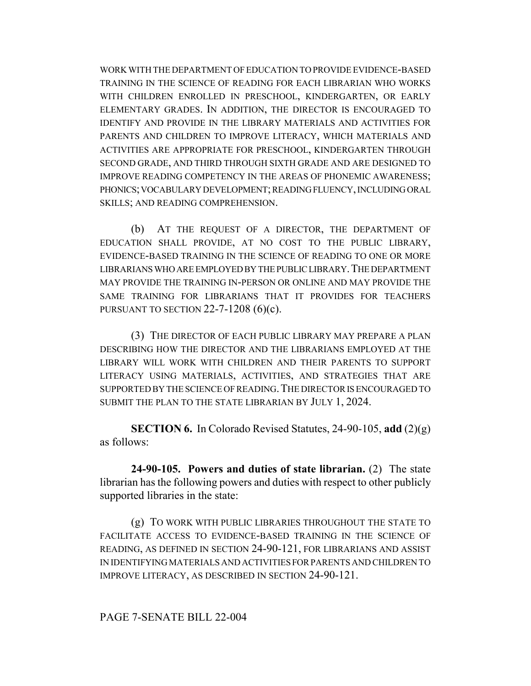WORK WITH THE DEPARTMENT OF EDUCATION TO PROVIDE EVIDENCE-BASED TRAINING IN THE SCIENCE OF READING FOR EACH LIBRARIAN WHO WORKS WITH CHILDREN ENROLLED IN PRESCHOOL, KINDERGARTEN, OR EARLY ELEMENTARY GRADES. IN ADDITION, THE DIRECTOR IS ENCOURAGED TO IDENTIFY AND PROVIDE IN THE LIBRARY MATERIALS AND ACTIVITIES FOR PARENTS AND CHILDREN TO IMPROVE LITERACY, WHICH MATERIALS AND ACTIVITIES ARE APPROPRIATE FOR PRESCHOOL, KINDERGARTEN THROUGH SECOND GRADE, AND THIRD THROUGH SIXTH GRADE AND ARE DESIGNED TO IMPROVE READING COMPETENCY IN THE AREAS OF PHONEMIC AWARENESS; PHONICS; VOCABULARY DEVELOPMENT; READING FLUENCY, INCLUDING ORAL SKILLS; AND READING COMPREHENSION.

(b) AT THE REQUEST OF A DIRECTOR, THE DEPARTMENT OF EDUCATION SHALL PROVIDE, AT NO COST TO THE PUBLIC LIBRARY, EVIDENCE-BASED TRAINING IN THE SCIENCE OF READING TO ONE OR MORE LIBRARIANS WHO ARE EMPLOYED BY THE PUBLIC LIBRARY.THE DEPARTMENT MAY PROVIDE THE TRAINING IN-PERSON OR ONLINE AND MAY PROVIDE THE SAME TRAINING FOR LIBRARIANS THAT IT PROVIDES FOR TEACHERS PURSUANT TO SECTION 22-7-1208  $(6)(c)$ .

(3) THE DIRECTOR OF EACH PUBLIC LIBRARY MAY PREPARE A PLAN DESCRIBING HOW THE DIRECTOR AND THE LIBRARIANS EMPLOYED AT THE LIBRARY WILL WORK WITH CHILDREN AND THEIR PARENTS TO SUPPORT LITERACY USING MATERIALS, ACTIVITIES, AND STRATEGIES THAT ARE SUPPORTED BY THE SCIENCE OF READING.THE DIRECTOR IS ENCOURAGED TO SUBMIT THE PLAN TO THE STATE LIBRARIAN BY JULY 1, 2024.

**SECTION 6.** In Colorado Revised Statutes, 24-90-105, **add** (2)(g) as follows:

**24-90-105. Powers and duties of state librarian.** (2) The state librarian has the following powers and duties with respect to other publicly supported libraries in the state:

(g) TO WORK WITH PUBLIC LIBRARIES THROUGHOUT THE STATE TO FACILITATE ACCESS TO EVIDENCE-BASED TRAINING IN THE SCIENCE OF READING, AS DEFINED IN SECTION 24-90-121, FOR LIBRARIANS AND ASSIST IN IDENTIFYING MATERIALS AND ACTIVITIES FOR PARENTS AND CHILDREN TO IMPROVE LITERACY, AS DESCRIBED IN SECTION 24-90-121.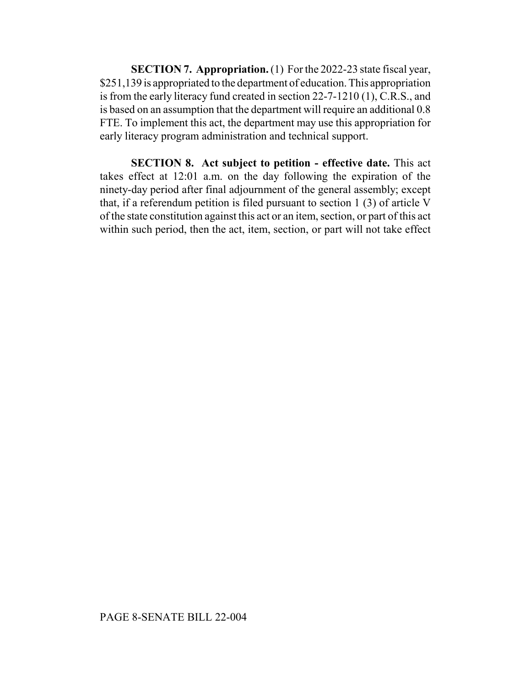**SECTION 7. Appropriation.** (1) For the 2022-23 state fiscal year, \$251,139 is appropriated to the department of education. This appropriation is from the early literacy fund created in section 22-7-1210 (1), C.R.S., and is based on an assumption that the department will require an additional 0.8 FTE. To implement this act, the department may use this appropriation for early literacy program administration and technical support.

**SECTION 8. Act subject to petition - effective date.** This act takes effect at 12:01 a.m. on the day following the expiration of the ninety-day period after final adjournment of the general assembly; except that, if a referendum petition is filed pursuant to section 1 (3) of article V of the state constitution against this act or an item, section, or part of this act within such period, then the act, item, section, or part will not take effect